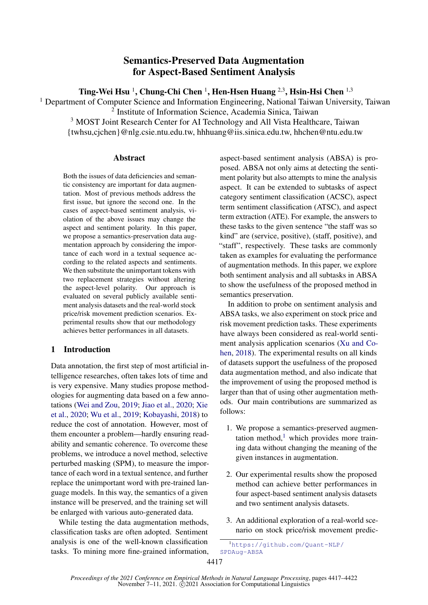# Semantics-Preserved Data Augmentation for Aspect-Based Sentiment Analysis

Ting-Wei Hsu <sup>1</sup>, Chung-Chi Chen <sup>1</sup>, Hen-Hsen Huang <sup>2,3</sup>, Hsin-Hsi Chen <sup>1,3</sup>

<sup>1</sup> Department of Computer Science and Information Engineering, National Taiwan University, Taiwan

2 Institute of Information Science, Academia Sinica, Taiwan

<sup>3</sup> MOST Joint Research Center for AI Technology and All Vista Healthcare, Taiwan {twhsu,cjchen}@nlg.csie.ntu.edu.tw, hhhuang@iis.sinica.edu.tw, hhchen@ntu.edu.tw

# **Abstract**

Both the issues of data deficiencies and semantic consistency are important for data augmentation. Most of previous methods address the first issue, but ignore the second one. In the cases of aspect-based sentiment analysis, violation of the above issues may change the aspect and sentiment polarity. In this paper, we propose a semantics-preservation data augmentation approach by considering the importance of each word in a textual sequence according to the related aspects and sentiments. We then substitute the unimportant tokens with two replacement strategies without altering the aspect-level polarity. Our approach is evaluated on several publicly available sentiment analysis datasets and the real-world stock price/risk movement prediction scenarios. Experimental results show that our methodology achieves better performances in all datasets.

# 1 Introduction

Data annotation, the first step of most artificial intelligence researches, often takes lots of time and is very expensive. Many studies propose methodologies for augmenting data based on a few annotations [\(Wei and Zou,](#page-5-0) [2019;](#page-5-0) [Jiao et al.,](#page-5-1) [2020;](#page-5-1) [Xie](#page-5-2) [et al.,](#page-5-2) [2020;](#page-5-2) [Wu et al.,](#page-5-3) [2019;](#page-5-3) [Kobayashi,](#page-5-4) [2018\)](#page-5-4) to reduce the cost of annotation. However, most of them encounter a problem—hardly ensuring readability and semantic coherence. To overcome these problems, we introduce a novel method, selective perturbed masking (SPM), to measure the importance of each word in a textual sentence, and further replace the unimportant word with pre-trained language models. In this way, the semantics of a given instance will be preserved, and the training set will be enlarged with various auto-generated data.

While testing the data augmentation methods, classification tasks are often adopted. Sentiment analysis is one of the well-known classification tasks. To mining more fine-grained information, aspect-based sentiment analysis (ABSA) is proposed. ABSA not only aims at detecting the sentiment polarity but also attempts to mine the analysis aspect. It can be extended to subtasks of aspect category sentiment classification (ACSC), aspect term sentiment classification (ATSC), and aspect term extraction (ATE). For example, the answers to these tasks to the given sentence "the staff was so kind" are (service, positive), (staff, positive), and "staff", respectively. These tasks are commonly taken as examples for evaluating the performance of augmentation methods. In this paper, we explore both sentiment analysis and all subtasks in ABSA to show the usefulness of the proposed method in semantics preservation.

In addition to probe on sentiment analysis and ABSA tasks, we also experiment on stock price and risk movement prediction tasks. These experiments have always been considered as real-world sentiment analysis application scenarios [\(Xu and Co](#page-5-5)[hen,](#page-5-5) [2018\)](#page-5-5). The experimental results on all kinds of datasets support the usefulness of the proposed data augmentation method, and also indicate that the improvement of using the proposed method is larger than that of using other augmentation methods. Our main contributions are summarized as follows:

- 1. We propose a semantics-preserved augmentation method, $<sup>1</sup>$  $<sup>1</sup>$  $<sup>1</sup>$  which provides more train-</sup> ing data without changing the meaning of the given instances in augmentation.
- 2. Our experimental results show the proposed method can achieve better performances in four aspect-based sentiment analysis datasets and two sentiment analysis datasets.
- 3. An additional exploration of a real-world scenario on stock price/risk movement predic-

<span id="page-0-0"></span><sup>1</sup>[https://github.com/Quant-NLP/](https://github.com/Quant-NLP/SPDAug-ABSA) [SPDAug-ABSA](https://github.com/Quant-NLP/SPDAug-ABSA)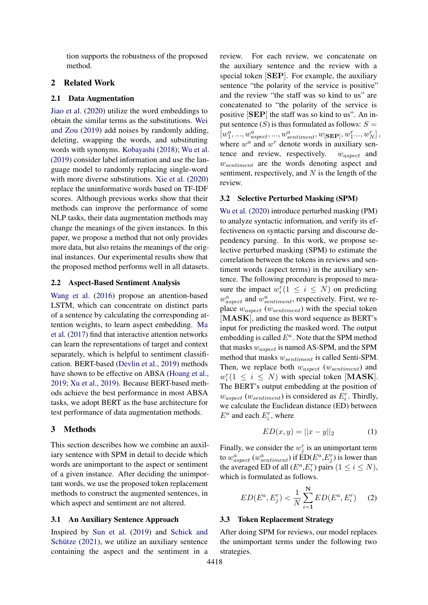tion supports the robustness of the proposed method.

# 2 Related Work

#### 2.1 Data Augmentation

[Jiao et al.](#page-5-1) [\(2020\)](#page-5-1) utilize the word embeddings to obtain the similar terms as the substitutions. [Wei](#page-5-0) [and Zou](#page-5-0) [\(2019\)](#page-5-0) add noises by randomly adding, deleting, swapping the words, and substituting words with synonyms. [Kobayashi](#page-5-4) [\(2018\)](#page-5-4); [Wu et al.](#page-5-3) [\(2019\)](#page-5-3) consider label information and use the language model to randomly replacing single-word with more diverse substitutions. [Xie et al.](#page-5-2) [\(2020\)](#page-5-2) replace the uninformative words based on TF-IDF scores. Although previous works show that their methods can improve the performance of some NLP tasks, their data augmentation methods may change the meanings of the given instances. In this paper, we propose a method that not only provides more data, but also retains the meanings of the original instances. Our experimental results show that the proposed method performs well in all datasets.

## 2.2 Aspect-Based Sentiment Analysis

[Wang et al.](#page-5-6) [\(2016\)](#page-5-6) propose an attention-based LSTM, which can concentrate on distinct parts of a sentence by calculating the corresponding attention weights, to learn aspect embedding. [Ma](#page-5-7) [et al.](#page-5-7) [\(2017\)](#page-5-7) find that interactive attention networks can learn the representations of target and context separately, which is helpful to sentiment classification. BERT-based [\(Devlin et al.,](#page-5-8) [2019\)](#page-5-8) methods have shown to be effective on ABSA [\(Hoang et al.,](#page-5-9) [2019;](#page-5-9) [Xu et al.,](#page-5-10) [2019\)](#page-5-10). Because BERT-based methods achieve the best performance in most ABSA tasks, we adopt BERT as the base architecture for test performance of data augmentation methods.

## 3 Methods

This section describes how we combine an auxiliary sentence with SPM in detail to decide which words are unimportant to the aspect or sentiment of a given instance. After deciding the unimportant words, we use the proposed token replacement methods to construct the augmented sentences, in which aspect and sentiment are not altered.

#### 3.1 An Auxiliary Sentence Approach

Inspired by [Sun et al.](#page-5-11) [\(2019\)](#page-5-11) and [Schick and](#page-5-12) [Schütze](#page-5-12) [\(2021\)](#page-5-12), we utilize an auxiliary sentence containing the aspect and the sentiment in a

review. For each review, we concatenate on the auxiliary sentence and the review with a special token [SEP]. For example, the auxiliary sentence "the polarity of the service is positive" and the review "the staff was so kind to us" are concatenated to "the polarity of the service is positive [SEP] the staff was so kind to us". An input sentence  $(S)$  is thus formulated as follows:  $S =$  $[w_1^a,...,w_{aspect}^a,...,w_{sentiment}^a,w_{[\bf SEP]},w_1^r...,w_N^r]\,,$ where  $w^a$  and  $w^r$  denote words in auxiliary sentence and review, respectively.  $w_{aspect}$  and wsentiment are the words denoting aspect and sentiment, respectively, and  $N$  is the length of the review.

#### 3.2 Selective Perturbed Masking (SPM)

[Wu et al.](#page-5-13) [\(2020\)](#page-5-13) introduce perturbed masking (PM) to analyze syntactic information, and verify its effectiveness on syntactic parsing and discourse dependency parsing. In this work, we propose selective perturbed masking (SPM) to estimate the correlation between the tokens in reviews and sentiment words (aspect terms) in the auxiliary sentence. The following procedure is proposed to measure the impact  $w_i^r (1 \leq i \leq N)$  on predicting  $w_{aspect}^a$  and  $w_{sentiment}^a$ , respectively. First, we replace  $w_{aspect}$  ( $w_{sentiment}$ ) with the special token [MASK], and use this word sequence as BERT's input for predicting the masked word. The output embedding is called  $E^a$ . Note that the SPM method that masks  $w_{aspect}$  is named AS-SPM, and the SPM method that masks  $w_{sentiment}$  is called Senti-SPM. Then, we replace both  $w_{aspect}$  ( $w_{sentiment}$ ) and  $w_i^r(1 \leq i \leq N)$  with special token [MASK]. The BERT's output embedding at the position of  $w_{aspect}$  ( $w_{sentiment}$ ) is considered as  $E_i^r$ . Thirdly, we calculate the Euclidean distance (ED) between  $E^a$  and each  $E_i^r$ , where

$$
ED(x, y) = ||x - y||_2
$$
 (1)

Finally, we consider the  $w_j^r$  is an unimportant term to  $w^a_{aspect}$  ( $w^a_{sentiment}$ ) if  $\text{ED}(E^a, E^r_j)$  is lower than the averaged ED of all  $(E^a, E_i^r)$  pairs  $(1 \le i \le N)$ , which is formulated as follows.

$$
ED(E^{a}, E_{j}^{r}) < \frac{1}{N} \sum_{i=1}^{N} ED(E^{a}, E_{i}^{r})
$$
 (2)

#### 3.3 Token Replacement Strategy

After doing SPM for reviews, our model replaces the unimportant terms under the following two strategies.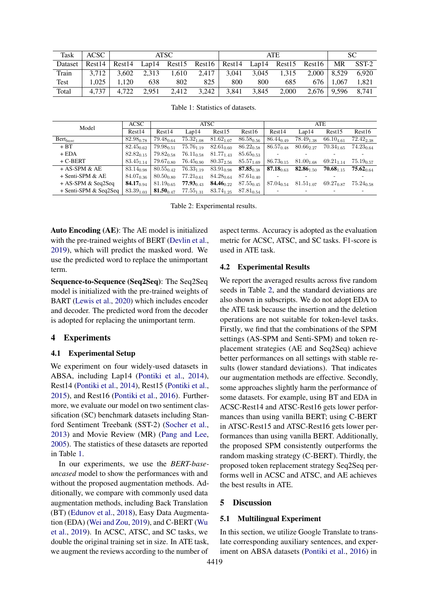<span id="page-2-0"></span>

| Task        | ACSC    | <b>ATSC</b>    |       |       | <b>ATE</b>                                                              |       |       |       | SC.                   |             |       |
|-------------|---------|----------------|-------|-------|-------------------------------------------------------------------------|-------|-------|-------|-----------------------|-------------|-------|
| Dataset     |         |                |       |       | $Rest14$ Rest14 Lap14 Rest15 Rest16 Rest14 Lap14 Rest15 Rest16 MR SST-2 |       |       |       |                       |             |       |
| Train       | 3.712   | $-3,602$ 2,313 |       |       | $1,610$ $2,417$ $3,041$ $3,045$ $1,315$                                 |       |       |       | $2,000$   8,529       |             | 6.920 |
| <b>Test</b> | $1.025$ | 1.120          | 638   | 802   | 825                                                                     | 800   | 800   | 685   |                       | 676   1.067 | 1.821 |
| Total       | 4.737   | 4.722          | 2.951 | 2.412 | 3,242                                                                   | 3.841 | 3,845 | 2,000 | $2,676$   9,596 8,741 |             |       |

Table 1: Statistics of datasets.

<span id="page-2-1"></span>

| Model                 | <b>ACSC</b>                  | <b>ATSC</b>                 |                             |                     |                | ATE                         |                |                         |                             |
|-----------------------|------------------------------|-----------------------------|-----------------------------|---------------------|----------------|-----------------------------|----------------|-------------------------|-----------------------------|
|                       | Rest14                       | Rest14                      | Lap14                       | Rest15              | Rest16         | Rest14                      | Lap14          | Rest15                  | Rest16                      |
| $Bert_{base}$         | $82.98_{0.78}$               | $79.48_{0.64}$              | $75.32_{1.08}$              | $81.62_{1.07}$      | $86.58_{0.56}$ | $86.44_{0.49}$              | $78.49_{1.38}$ | $66.10_{4.61}$          | $72.42_{2.38}$              |
| $+ BT$                | $82.45_{0.62}$               | $79.98_{\scriptstyle 0.51}$ | $75.76_{1.19}$              | $82.61_{0.60}$      | $86.22_{0.58}$ | $86.57_{0.48}$              | $80.66_{2.27}$ | $70.34_{\text{1.65}}$   | $74.23_{0.64}$              |
| $+$ EDA               | $82.82_{0.15}$               | $79.82_{0.58}$              | $76.11_{0.58}$              | $81.77_{1.43}$      | $85.65_{0.53}$ |                             |                |                         |                             |
| $+$ C-BERT            | $83.45_{1.14}$               | $79.67_{0.80}$              | $76.45_{0.90}$              | $80.37_{2.56}$      | $85.57_{1.69}$ | $86.73_{0.15}$              | $81.00_{1.68}$ | $69.21_{1.14}$          | $75.19_{0.57}$              |
| $+$ AS-SPM & AE       | 83.14 <sub>0.98</sub>        | $80.55_{0.42}$              | $76.33_{1.19}$              | $83.91_{0.98}$      | $87.85_{0.38}$ | 87.18 <sub>0.63</sub>       | $82.86_{1.50}$ | $70.68$ <sub>1,15</sub> | $75.62_{\scriptstyle 0.64}$ |
| + Senti-SPM & AE      | $84.07_{0.36}$               | $80.50_{0.80}$              | $77.21_{0.61}$              | $84.28_{0.64}$      | $87.61_{0.40}$ |                             |                |                         | ٠                           |
| $+$ AS-SPM & Seq2Seq  | <b>84.17</b> <sub>0.94</sub> | $81.19_{0.65}$              | $77.93_{\scriptstyle 0.43}$ | $\bm{84.46}_{0.22}$ | $87.55_{0.45}$ | $87.04_{\scriptstyle 0.54}$ | $81.51_{1.07}$ | $69.27_{0.87}$          | $75.24_{0.58}$              |
| + Senti-SPM & Seq2Seq | $83.39_{1.03}$               | $81.50_{0.47}$              | $77.55_{1.31}$              | $83.74_{1.25}$      | $87.81_{0.54}$ |                             |                |                         |                             |

Table 2: Experimental results.

Auto Encoding (AE): The AE model is initialized with the pre-trained weights of BERT [\(Devlin et al.,](#page-5-8) [2019\)](#page-5-8), which will predict the masked word. We use the predicted word to replace the unimportant term.

Sequence-to-Sequence (Seq2Seq): The Seq2Seq model is initialized with the pre-trained weights of BART [\(Lewis et al.,](#page-5-14) [2020\)](#page-5-14) which includes encoder and decoder. The predicted word from the decoder is adopted for replacing the unimportant term.

# 4 Experiments

#### 4.1 Experimental Setup

We experiment on four widely-used datasets in ABSA, including Lap14 [\(Pontiki et al.,](#page-5-15) [2014\)](#page-5-15), Rest14 [\(Pontiki et al.,](#page-5-15) [2014\)](#page-5-15), Rest15 [\(Pontiki et al.,](#page-5-16) [2015\)](#page-5-16), and Rest16 [\(Pontiki et al.,](#page-5-17) [2016\)](#page-5-17). Furthermore, we evaluate our model on two sentiment classification (SC) benchmark datasets including Stanford Sentiment Treebank (SST-2) [\(Socher et al.,](#page-5-18) [2013\)](#page-5-18) and Movie Review (MR) [\(Pang and Lee,](#page-5-19) [2005\)](#page-5-19). The statistics of these datasets are reported in Table [1.](#page-2-0)

In our experiments, we use the *BERT-baseuncased* model to show the performances with and without the proposed augmentation methods. Additionally, we compare with commonly used data augmentation methods, including Back Translation (BT) [\(Edunov et al.,](#page-5-20) [2018\)](#page-5-20), Easy Data Augmentation (EDA) [\(Wei and Zou,](#page-5-0) [2019\)](#page-5-0), and C-BERT [\(Wu](#page-5-3) [et al.,](#page-5-3) [2019\)](#page-5-3). In ACSC, ATSC, and SC tasks, we double the original training set in size. In ATE task, we augment the reviews according to the number of

aspect terms. Accuracy is adopted as the evaluation metric for ACSC, ATSC, and SC tasks. F1-score is used in ATE task.

#### 4.2 Experimental Results

We report the averaged results across five random seeds in Table [2,](#page-2-1) and the standard deviations are also shown in subscripts. We do not adopt EDA to the ATE task because the insertion and the deletion operations are not suitable for token-level tasks. Firstly, we find that the combinations of the SPM settings (AS-SPM and Senti-SPM) and token replacement strategies (AE and Seq2Seq) achieve better performances on all settings with stable results (lower standard deviations). That indicates our augmentation methods are effective. Secondly, some approaches slightly harm the performance of some datasets. For example, using BT and EDA in ACSC-Rest14 and ATSC-Rest16 gets lower performances than using vanilla BERT; using C-BERT in ATSC-Rest15 and ATSC-Rest16 gets lower performances than using vanilla BERT. Additionally, the proposed SPM consistently outperforms the random masking strategy (C-BERT). Thirdly, the proposed token replacement strategy Seq2Seq performs well in ACSC and ATSC, and AE achieves the best results in ATE.

## 5 Discussion

#### 5.1 Multilingual Experiment

In this section, we utilize Google Translate to translate corresponding auxiliary sentences, and experiment on ABSA datasets [\(Pontiki et al.,](#page-5-17) [2016\)](#page-5-17) in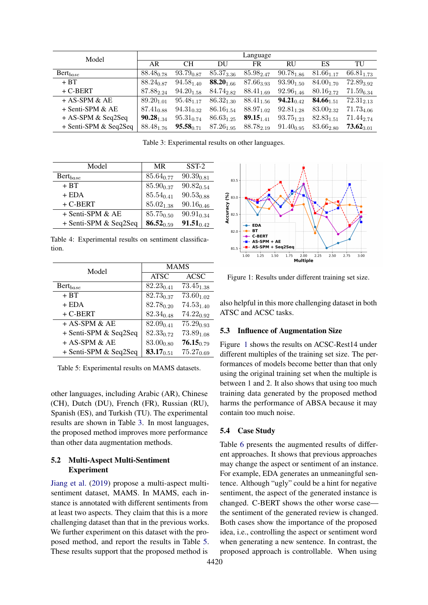<span id="page-3-0"></span>

| Model                   | Language              |                |                       |                               |                              |                |                |  |
|-------------------------|-----------------------|----------------|-----------------------|-------------------------------|------------------------------|----------------|----------------|--|
|                         | AR                    | <b>CH</b>      | DU                    | FR                            | RU                           | ES             | TU             |  |
| $\mathrm{Bert}_{base}$  | $88.48_{0.78}$        | $93.79_{0.87}$ | $85.37_{3.36}$        | $85.98_{2.47}$                | $90.78_{1.86}$               | $81.66_{1.17}$ | $66.81_{1.73}$ |  |
| $+ BT$                  | $88.24_{0.87}$        | $94.58_{1.40}$ | 88.20 $_{1.66}$       | $87.66_{3.93}$                | $93.90_{1.50}$               | $84.00_{1.70}$ | $72.89_{3.92}$ |  |
| $+$ C-BERT              | $87.88_{2.24}$        | $94.20_{1.58}$ | 84.74 <sub>2.82</sub> | $88.41_{1.69}$                | $92.96_{1.46}$               | $80.16_{2.72}$ | $71.59_{6.34}$ |  |
| $+$ AS-SPM & AE         | 89.20 <sub>1.01</sub> | $95.48_{1.17}$ | $86.32_{1.30}$        | $88.41_{1.56}$                | <b>94.21</b> <sub>0.42</sub> | $84.66_{1.51}$ | $72.31_{2,13}$ |  |
| $+$ Senti-SPM & AE      | $87.41_{\sub{0.88}}$  | $94.31_{0.32}$ | $86.16_{1.54}$        | $88.97_{1.02}$                | $92.81_{1.28}$               | $83.00_{2.32}$ | $71.73_{4.06}$ |  |
| $+$ AS-SPM & Seq2Seq    | $90.28_{1.34}$        | $95.31_{0.74}$ | $86.63_{1.25}$        | $89.15_{1.41}$                | $93.75_{1.23}$               | $82.83_{1.51}$ | $71.44_{2.74}$ |  |
| $+$ Senti-SPM & Seq2Seq | $88.48_{1.76}$        | $95.58_{0.71}$ |                       | $87.26_{1.95}$ $88.78_{2.19}$ | $91.40_{0.95}$               | $83.66_{2.80}$ | $73.62_{3.01}$ |  |

Table 3: Experimental results on other languages.

| Model                  | <b>MR</b>       | $SST-2$        |
|------------------------|-----------------|----------------|
| $\mathrm{Bert}_{base}$ | $85.64_{0.77}$  | $90.39_{0.81}$ |
| $+ BT$                 | 85.90 $_{0.37}$ | $90.82_{0.54}$ |
| $+$ EDA                | $85.54_{0.41}$  | $90.53_{0.88}$ |
| $+$ C-BERT             | $85.02_{1.38}$  | $90.16_{0.46}$ |
| $+$ Senti-SPM & AE     | $85.75_{0.50}$  | $90.91_{0.34}$ |
| + Senti-SPM & Seq2Seq  | $86.52_{0.59}$  | $91.51_{0.42}$ |

Table 4: Experimental results on sentiment classification.

<span id="page-3-1"></span>

| Model                   | <b>MAMS</b>    |                       |  |  |
|-------------------------|----------------|-----------------------|--|--|
|                         | <b>ATSC</b>    | <b>ACSC</b>           |  |  |
| $\mathrm{Bert}_{base}$  | $82.23_{0.41}$ | $73.45_{1.38}$        |  |  |
| $+ BT$                  | $82.73_{0.37}$ | $73.60_{1.02}$        |  |  |
| $+$ EDA                 | $82.78_{0.20}$ | $74.53_{1.40}$        |  |  |
| $+$ C-BERT              | $82.34_{0.48}$ | $74.22_{0.92}$        |  |  |
| $+$ AS-SPM & AE         | $82.09_{0.41}$ | $75.29_{0.93}$        |  |  |
| $+$ Senti-SPM & Seq2Seq | $82.33_{0.72}$ | $73.89_{1.08}$        |  |  |
| + AS-SPM & AE           | $83.00_{0.80}$ | $76.15_{0.79}$        |  |  |
| + Senti-SPM & Seq2Seq   | $83.17_{0.51}$ | 75.27 <sub>0.69</sub> |  |  |

Table 5: Experimental results on MAMS datasets.

other languages, including Arabic (AR), Chinese (CH), Dutch (DU), French (FR), Russian (RU), Spanish (ES), and Turkish (TU). The experimental results are shown in Table [3.](#page-3-0) In most languages, the proposed method improves more performance than other data augmentation methods.

# 5.2 Multi-Aspect Multi-Sentiment Experiment

[Jiang et al.](#page-5-21) [\(2019\)](#page-5-21) propose a multi-aspect multisentiment dataset, MAMS. In MAMS, each instance is annotated with different sentiments from at least two aspects. They claim that this is a more challenging dataset than that in the previous works. We further experiment on this dataset with the proposed method, and report the results in Table [5.](#page-3-1) These results support that the proposed method is

<span id="page-3-2"></span>

Figure 1: Results under different training set size.

also helpful in this more challenging dataset in both ATSC and ACSC tasks.

# 5.3 Influence of Augmentation Size

Figure [1](#page-3-2) shows the results on ACSC-Rest14 under different multiples of the training set size. The performances of models become better than that only using the original training set when the multiple is between 1 and 2. It also shows that using too much training data generated by the proposed method harms the performance of ABSA because it may contain too much noise.

# 5.4 Case Study

Table [6](#page-4-0) presents the augmented results of different approaches. It shows that previous approaches may change the aspect or sentiment of an instance. For example, EDA generates an unmeaningful sentence. Although "ugly" could be a hint for negative sentiment, the aspect of the generated instance is changed. C-BERT shows the other worse case the sentiment of the generated review is changed. Both cases show the importance of the proposed idea, i.e., controlling the aspect or sentiment word when generating a new sentence. In contrast, the proposed approach is controllable. When using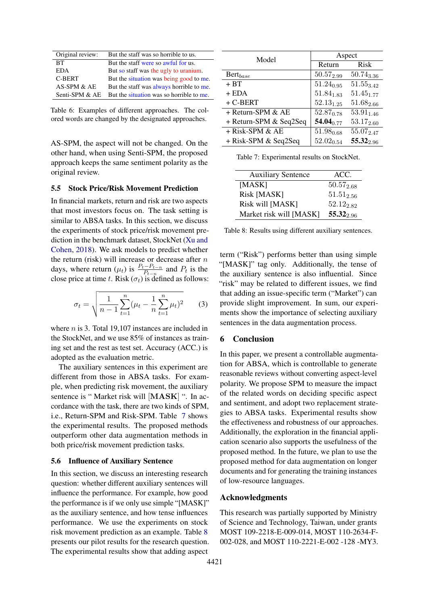<span id="page-4-0"></span>

| Original review: | But the staff was so horrible to us.     |
|------------------|------------------------------------------|
| BТ               | But the staff were so awful for us.      |
| <b>EDA</b>       | But so staff was the ugly to uranium.    |
| <b>C-BERT</b>    | But the situation was being good to me.  |
| AS-SPM & AE      | But the staff was always horrible to me. |
| Senti-SPM & AE   | But the situation was so horrible to me. |

Table 6: Examples of different approaches. The colored words are changed by the designated approaches.

AS-SPM, the aspect will not be changed. On the other hand, when using Senti-SPM, the proposed approach keeps the same sentiment polarity as the original review.

# 5.5 Stock Price/Risk Movement Prediction

In financial markets, return and risk are two aspects that most investors focus on. The task setting is similar to ABSA tasks. In this section, we discuss the experiments of stock price/risk movement prediction in the benchmark dataset, StockNet [\(Xu and](#page-5-5) [Cohen,](#page-5-5) [2018\)](#page-5-5). We ask models to predict whether the return (risk) will increase or decrease after  $n$ days, where return  $(\mu_t)$  is  $\frac{P_t - P_{t-n}}{P_{t-n}}$  and  $P_t$  is the close price at time t. Risk ( $\sigma_t$ ) is defined as follows:

$$
\sigma_t = \sqrt{\frac{1}{n-1} \sum_{t=1}^n (\mu_t - \frac{1}{n} \sum_{t=1}^n \mu_t)^2}
$$
 (3)

where *n* is 3. Total 19,107 instances are included in the StockNet, and we use 85% of instances as training set and the rest as test set. Accuracy (ACC.) is adopted as the evaluation metric.

The auxiliary sentences in this experiment are different from those in ABSA tasks. For example, when predicting risk movement, the auxiliary sentence is " Market risk will [MASK] ". In accordance with the task, there are two kinds of SPM, i.e., Return-SPM and Risk-SPM. Table [7](#page-4-1) shows the experimental results. The proposed methods outperform other data augmentation methods in both price/risk movement prediction tasks.

# 5.6 Influence of Auxiliary Sentence

In this section, we discuss an interesting research question: whether different auxiliary sentences will influence the performance. For example, how good the performance is if we only use simple "[MASK]" as the auxiliary sentence, and how tense influences performance. We use the experiments on stock risk movement prediction as an example. Table [8](#page-4-2) presents our pilot results for the research question. The experimental results show that adding aspect

<span id="page-4-1"></span>

| Model                  | Aspect          |                |  |  |
|------------------------|-----------------|----------------|--|--|
|                        | Return          | <b>Risk</b>    |  |  |
| Bert <sub>base</sub>   | $50.57_{2.99}$  | $50.74_{3.36}$ |  |  |
| $+ BT$                 | $51.24_{0.95}$  | $51.55_{3.42}$ |  |  |
| $+$ EDA                | $51.84_{1.83}$  | $51.45_{1.77}$ |  |  |
| + C-BERT               | $52.13_{1.25}$  | $51.68_{2.66}$ |  |  |
| + Return-SPM & AE      | $52.87_{0.78}$  | $53.91_{1.46}$ |  |  |
| + Return-SPM & Seq2Seq | 54.04 $_{0.77}$ | $53.17_{2.60}$ |  |  |
| + Risk-SPM & AE        | $51.98_{0.68}$  | 55.072.47      |  |  |
| + Risk-SPM & Seq2Seq   | $52.02_{0.54}$  | 55.322.96      |  |  |

Table 7: Experimental results on StockNet.

<span id="page-4-2"></span>

| <b>Auxiliary Sentence</b> | ACC.            |
|---------------------------|-----------------|
| [MASK]                    | $50.57_{2.68}$  |
| Risk [MASK]               | $51.51_{2.56}$  |
| Risk will [MASK]          | $52.12_{2.82}$  |
| Market risk will [MASK]   | 55.32 $_{2.96}$ |

Table 8: Results using different auxiliary sentences.

term ("Risk") performs better than using simple "[MASK]" tag only. Additionally, the tense of the auxiliary sentence is also influential. Since "risk" may be related to different issues, we find that adding an issue-specific term ("Market") can provide slight improvement. In sum, our experiments show the importance of selecting auxiliary sentences in the data augmentation process.

# 6 Conclusion

In this paper, we present a controllable augmentation for ABSA, which is controllable to generate reasonable reviews without converting aspect-level polarity. We propose SPM to measure the impact of the related words on deciding specific aspect and sentiment, and adopt two replacement strategies to ABSA tasks. Experimental results show the effectiveness and robustness of our approaches. Additionally, the exploration in the financial application scenario also supports the usefulness of the proposed method. In the future, we plan to use the proposed method for data augmentation on longer documents and for generating the training instances of low-resource languages.

# Acknowledgments

This research was partially supported by Ministry of Science and Technology, Taiwan, under grants MOST 109-2218-E-009-014, MOST 110-2634-F-002-028, and MOST 110-2221-E-002 -128 -MY3.